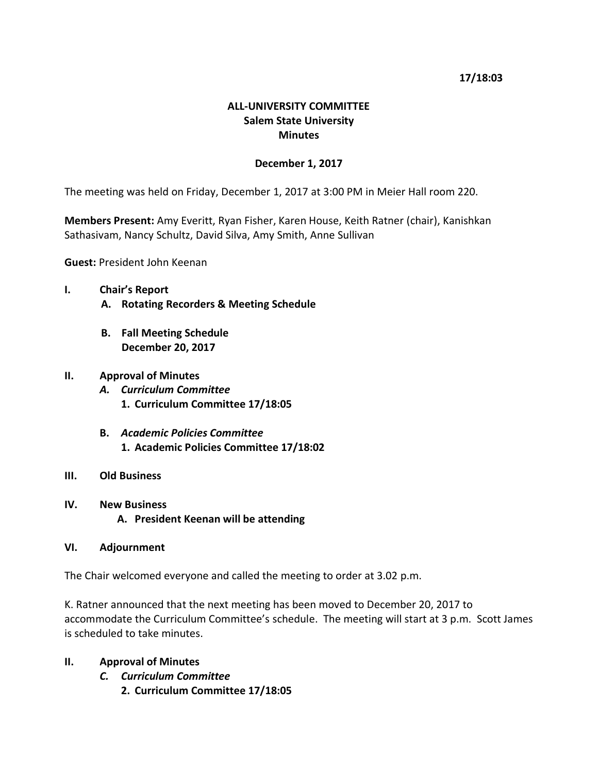## **17/18:03**

# **ALL-UNIVERSITY COMMITTEE Salem State University Minutes**

### **December 1, 2017**

The meeting was held on Friday, December 1, 2017 at 3:00 PM in Meier Hall room 220.

**Members Present:** Amy Everitt, Ryan Fisher, Karen House, Keith Ratner (chair), Kanishkan Sathasivam, Nancy Schultz, David Silva, Amy Smith, Anne Sullivan

**Guest:** President John Keenan

- **I. Chair's Report**
	- **A. Rotating Recorders & Meeting Schedule**
	- **B. Fall Meeting Schedule December 20, 2017**

## **II. Approval of Minutes**

- *A. Curriculum Committee* **1. Curriculum Committee 17/18:05**
- **B.** *Academic Policies Committee* **1. Academic Policies Committee 17/18:02**
- **III. Old Business**
- **IV. New Business A. President Keenan will be attending**

## **VI. Adjournment**

The Chair welcomed everyone and called the meeting to order at 3.02 p.m.

K. Ratner announced that the next meeting has been moved to December 20, 2017 to accommodate the Curriculum Committee's schedule. The meeting will start at 3 p.m. Scott James is scheduled to take minutes.

- **II. Approval of Minutes**
	- *C. Curriculum Committee*
		- **2. Curriculum Committee 17/18:05**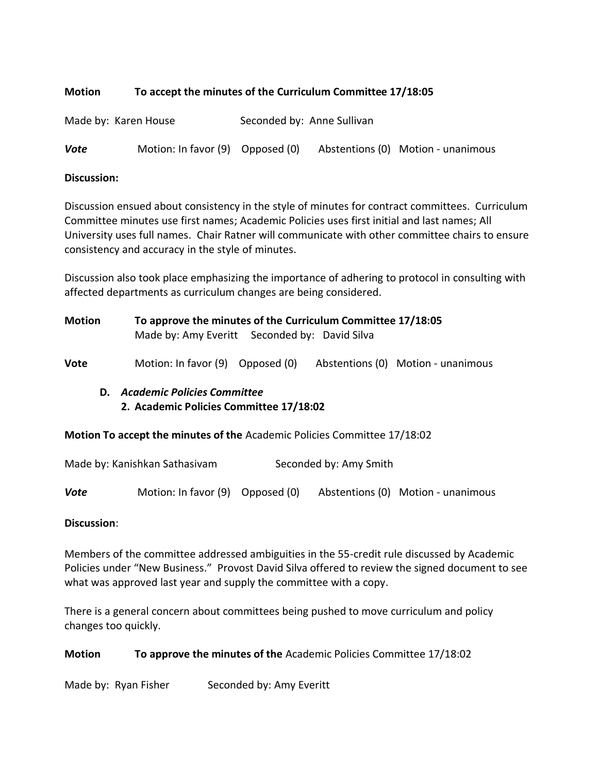# **Motion To accept the minutes of the Curriculum Committee 17/18:05**

Made by: Karen House Seconded by: Anne Sullivan

**Vote** Motion: In favor (9) Opposed (0) Abstentions (0) Motion - unanimous

### **Discussion:**

Discussion ensued about consistency in the style of minutes for contract committees. Curriculum Committee minutes use first names; Academic Policies uses first initial and last names; All University uses full names. Chair Ratner will communicate with other committee chairs to ensure consistency and accuracy in the style of minutes.

Discussion also took place emphasizing the importance of adhering to protocol in consulting with affected departments as curriculum changes are being considered.

| Motion |    | To approve the minutes of the Curriculum Committee 17/18:05<br>Made by: Amy Everitt Seconded by: David Silva |  |  |                                    |  |
|--------|----|--------------------------------------------------------------------------------------------------------------|--|--|------------------------------------|--|
| Vote   |    | Motion: In favor (9) Opposed (0)                                                                             |  |  | Abstentions (0) Motion - unanimous |  |
|        | D. | <b>Academic Policies Committee</b>                                                                           |  |  |                                    |  |

# **2. Academic Policies Committee 17/18:02**

**Motion To accept the minutes of the** Academic Policies Committee 17/18:02

|  |  | Made by: Kanishkan Sathasivam | Seconded by: Amy Smith |  |
|--|--|-------------------------------|------------------------|--|
|--|--|-------------------------------|------------------------|--|

**Vote** Motion: In favor (9) Opposed (0) Abstentions (0) Motion - unanimous

## **Discussion**:

Members of the committee addressed ambiguities in the 55-credit rule discussed by Academic Policies under "New Business." Provost David Silva offered to review the signed document to see what was approved last year and supply the committee with a copy.

There is a general concern about committees being pushed to move curriculum and policy changes too quickly.

## **Motion To approve the minutes of the** Academic Policies Committee 17/18:02

Made by: Ryan Fisher Seconded by: Amy Everitt